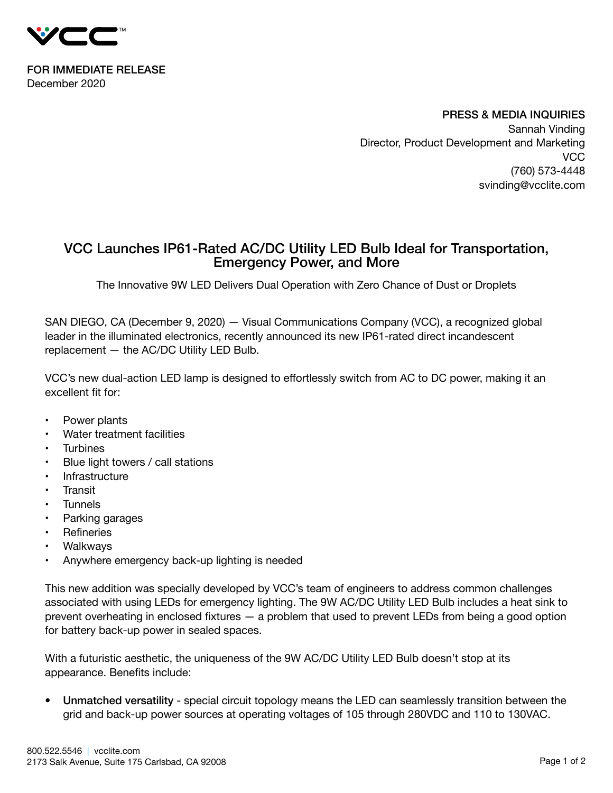

FOR IMMEDIATE RELEASE December 2020

> PRESS & MEDIA INQUIRIES Sannah Vinding Director, Product Development and Marketing VCC (760) 573-4448 svinding@vcclite.com

## VCC Launches IP61-Rated AC/DC Utility LED Bulb Ideal for Transportation, Emergency Power, and More

The Innovative 9W LED Delivers Dual Operation with Zero Chance of Dust or Droplets

SAN DIEGO, CA (December 9, 2020) — Visual Communications Company (VCC), a recognized global leader in the illuminated electronics, recently announced its new IP61-rated direct incandescent replacement — the AC/DC Utility LED Bulb.

VCC's new dual-action LED lamp is designed to effortlessly switch from AC to DC power, making it an excellent fit for:

- Power plants
- Water treatment facilities
- **Turbines**
- Blue light towers / call stations
- **Infrastructure**
- **Transit**
- **Tunnels**
- Parking garages
- Refineries
- **Walkways**
- Anywhere emergency back-up lighting is needed

This new addition was specially developed by VCC's team of engineers to address common challenges associated with using LEDs for emergency lighting. The 9W AC/DC Utility LED Bulb includes a heat sink to prevent overheating in enclosed fixtures — a problem that used to prevent LEDs from being a good option for battery back-up power in sealed spaces.

With a futuristic aesthetic, the uniqueness of the 9W AC/DC Utility LED Bulb doesn't stop at its appearance. Benefits include:

• Unmatched versatility - special circuit topology means the LED can seamlessly transition between the grid and back-up power sources at operating voltages of 105 through 280VDC and 110 to 130VAC.